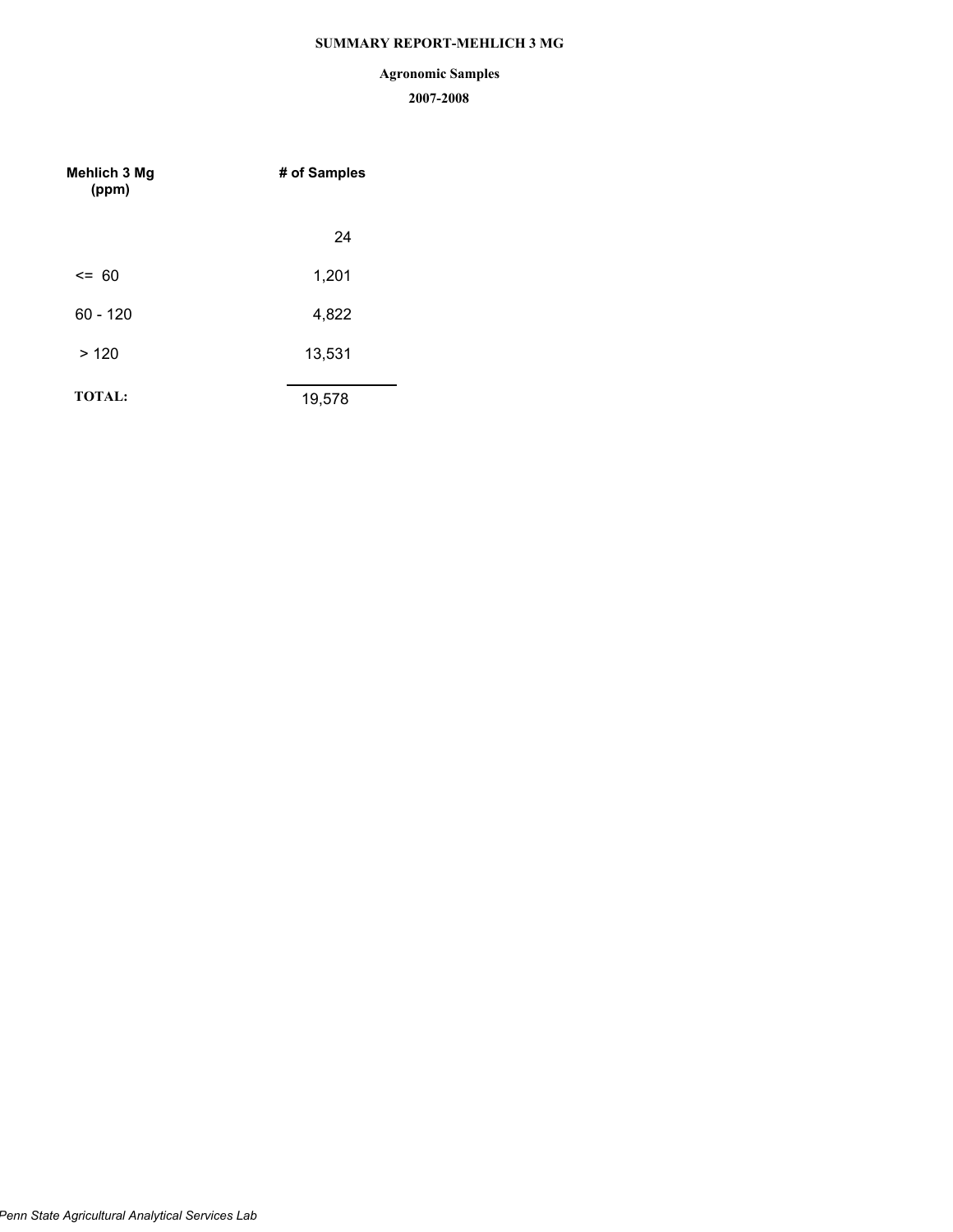# **SUMMARY REPORT-MEHLICH 3 MG**

# **Agronomic Samples**

| <b>Mehlich 3 Mg</b><br>(ppm) | # of Samples |  |  |
|------------------------------|--------------|--|--|
|                              | 24           |  |  |
| $\leq$ 60                    | 1,201        |  |  |
| $60 - 120$                   | 4,822        |  |  |
| >120                         | 13,531       |  |  |
| <b>TOTAL:</b>                | 19,578       |  |  |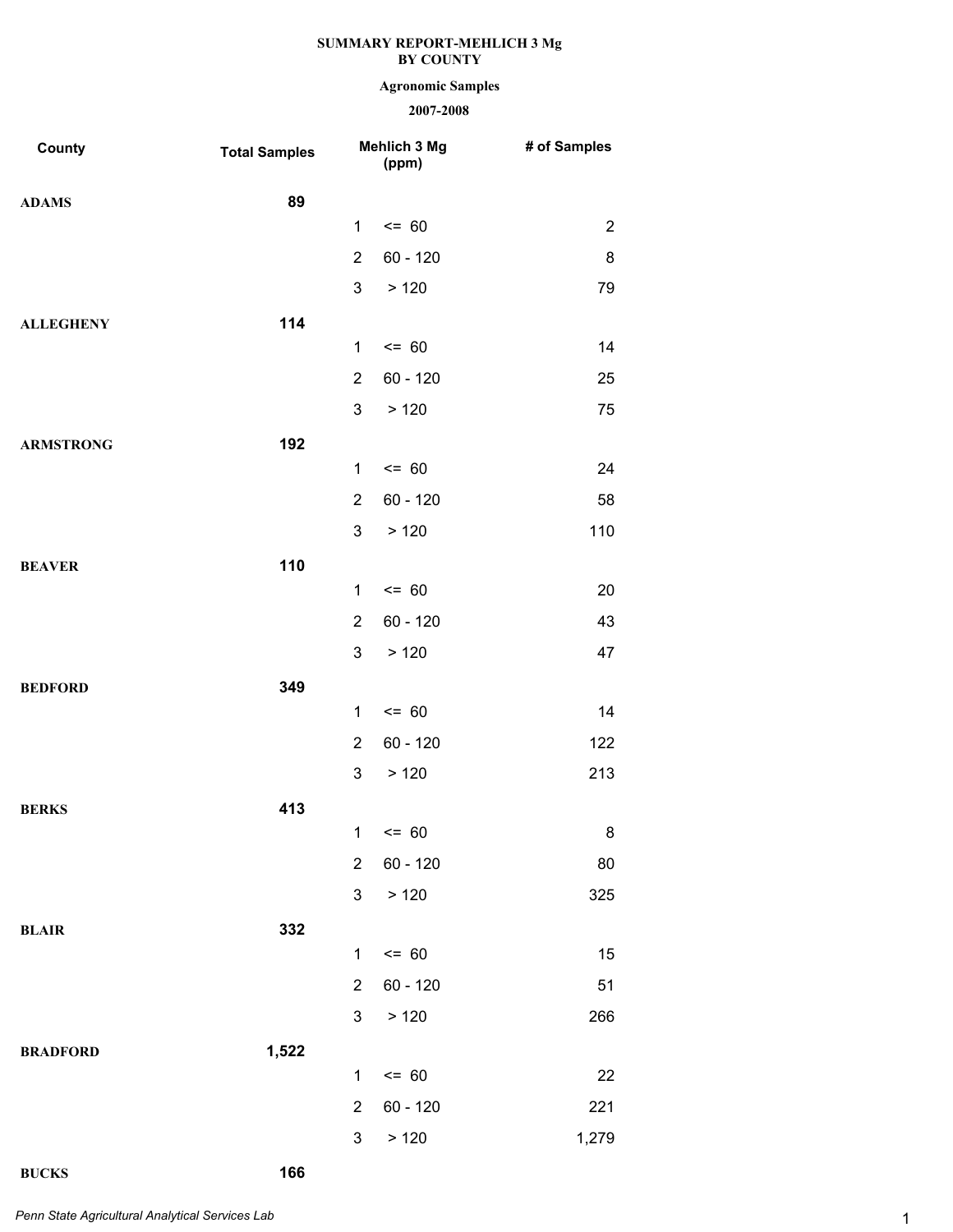# **Agronomic Samples**

# **2007-2008**

| County           | <b>Total Samples</b> |                | Mehlich 3 Mg<br>(ppm) | # of Samples   |
|------------------|----------------------|----------------|-----------------------|----------------|
| <b>ADAMS</b>     | 89                   |                |                       |                |
|                  |                      | $\mathbf{1}$   | $= 60$                | $\overline{2}$ |
|                  |                      | $\overline{2}$ | $60 - 120$            | 8              |
|                  |                      | 3              | >120                  | 79             |
| <b>ALLEGHENY</b> | 114                  |                |                       |                |
|                  |                      | $\mathbf{1}$   | $= 60$                | 14             |
|                  |                      | $\overline{2}$ | $60 - 120$            | 25             |
|                  |                      | 3              | >120                  | 75             |
| <b>ARMSTRONG</b> | 192                  |                |                       |                |
|                  |                      | $\mathbf{1}$   | $= 60$                | 24             |
|                  |                      | $\overline{2}$ | $60 - 120$            | 58             |
|                  |                      | 3              | >120                  | 110            |
| <b>BEAVER</b>    | 110                  |                |                       |                |
|                  |                      | $\mathbf{1}$   | $= 60$                | 20             |
|                  |                      | $\overline{2}$ | $60 - 120$            | 43             |
|                  |                      | 3              | >120                  | 47             |
| <b>BEDFORD</b>   | 349                  |                |                       |                |
|                  |                      | $\mathbf{1}$   | $= 60$                | 14             |
|                  |                      | $\overline{2}$ | $60 - 120$            | 122            |
|                  |                      | 3              | > 120                 | 213            |
| <b>BERKS</b>     | 413                  |                |                       |                |
|                  |                      |                | $1 \le 60$            | 8              |
|                  |                      | $\overline{2}$ | $60 - 120$            | 80             |
|                  |                      | 3              | > 120                 | 325            |
| <b>BLAIR</b>     | 332                  |                |                       |                |
|                  |                      | $\mathbf{1}$   | $= 60$                | 15             |
|                  |                      | $\overline{2}$ | $60 - 120$            | 51             |
|                  |                      | 3              | > 120                 | 266            |
| <b>BRADFORD</b>  | 1,522                | $\mathbf{1}$   | $= 60$                | 22             |
|                  |                      | $\overline{2}$ | 60 - 120              | 221            |
|                  |                      | 3              | > 120                 | 1,279          |
|                  |                      |                |                       |                |

**BUCKS 166**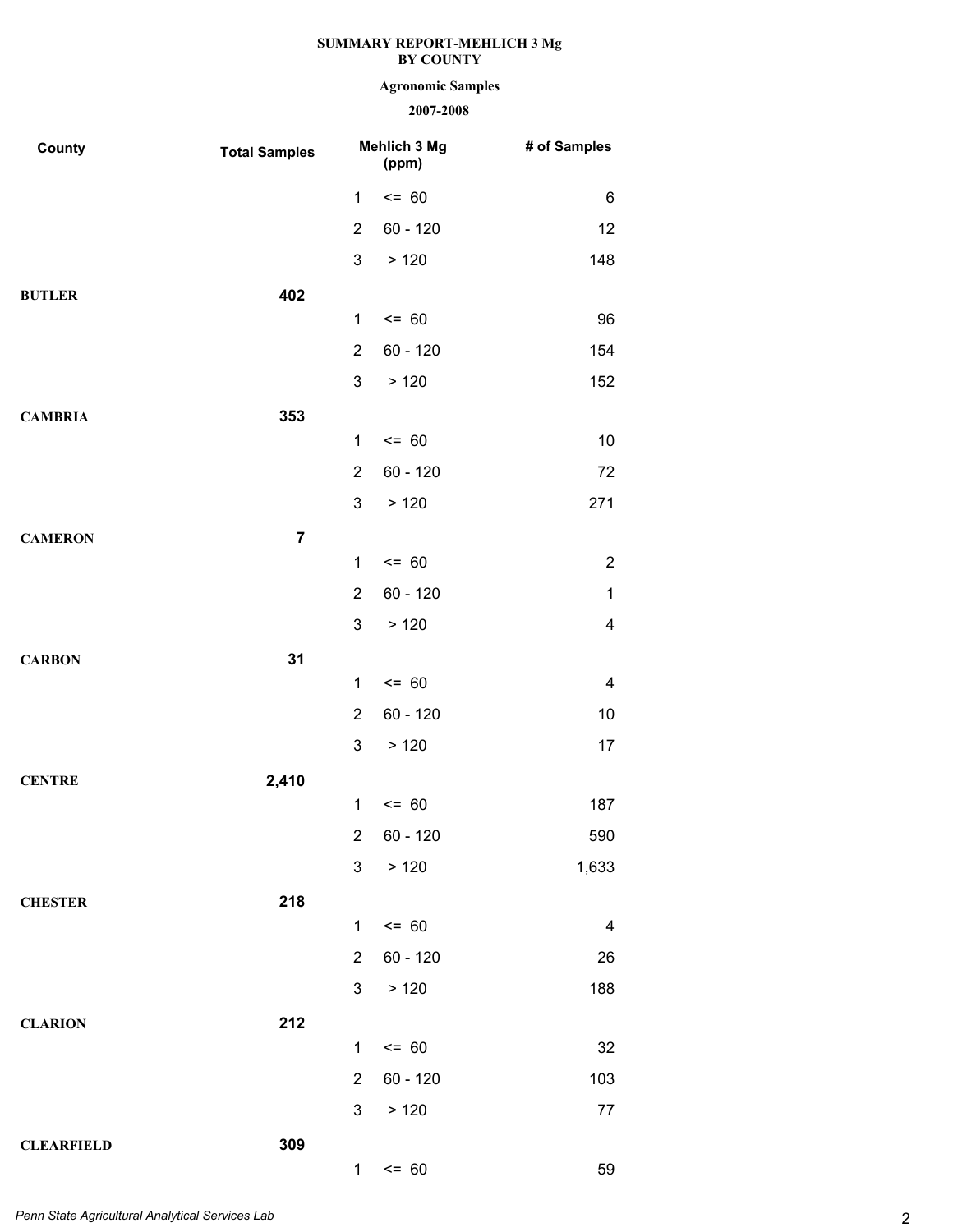# **Agronomic Samples**

| County            | <b>Total Samples</b> | Mehlich 3 Mg<br>(ppm)   |            | # of Samples            |
|-------------------|----------------------|-------------------------|------------|-------------------------|
|                   |                      | $\mathbf{1}$            | $= 60$     | 6                       |
|                   |                      | $\overline{2}$          | $60 - 120$ | 12                      |
|                   |                      | 3                       | > 120      | 148                     |
| <b>BUTLER</b>     | 402                  |                         |            |                         |
|                   |                      | $\mathbf{1}$            | $= 60$     | 96                      |
|                   |                      | $\overline{2}$          | $60 - 120$ | 154                     |
|                   |                      | 3                       | > 120      | 152                     |
| <b>CAMBRIA</b>    | 353                  |                         |            |                         |
|                   |                      | $\mathbf 1$             | $= 60$     | 10                      |
|                   |                      | $\overline{2}$          | $60 - 120$ | 72                      |
|                   |                      | 3                       | > 120      | 271                     |
| <b>CAMERON</b>    | $\overline{7}$       |                         |            |                         |
|                   |                      | $\mathbf{1}$            | $= 60$     | $\overline{\mathbf{c}}$ |
|                   |                      | $\overline{2}$          | $60 - 120$ | $\mathbf 1$             |
|                   |                      | 3                       | > 120      | $\overline{\mathbf{4}}$ |
| <b>CARBON</b>     | 31                   |                         |            |                         |
|                   |                      | $\mathbf 1$             | $= 60$     | $\overline{\mathbf{4}}$ |
|                   |                      | $\overline{2}$          | $60 - 120$ | 10                      |
|                   |                      | 3                       | > 120      | 17                      |
| <b>CENTRE</b>     | 2,410                |                         |            |                         |
|                   |                      | $\mathbf{1}$            | $= 60$     | 187                     |
|                   |                      | $\overline{\mathbf{c}}$ | $60 - 120$ | 590                     |
|                   |                      | 3                       | > 120      | 1,633                   |
| <b>CHESTER</b>    | 218                  |                         |            |                         |
|                   |                      | $\mathbf{1}$            | $= 60$     | $\overline{\mathbf{4}}$ |
|                   |                      | $\overline{2}$          | $60 - 120$ | 26                      |
|                   |                      | 3 <sup>1</sup>          | > 120      | 188                     |
| <b>CLARION</b>    | 212                  |                         |            |                         |
|                   |                      | $\mathbf{1}$            | $= 60$     | 32                      |
|                   |                      | $\overline{2}$          | $60 - 120$ | 103                     |
|                   |                      | 3                       | > 120      | 77                      |
| <b>CLEARFIELD</b> | 309                  |                         |            |                         |
|                   |                      | 1                       | $= 60$     | 59                      |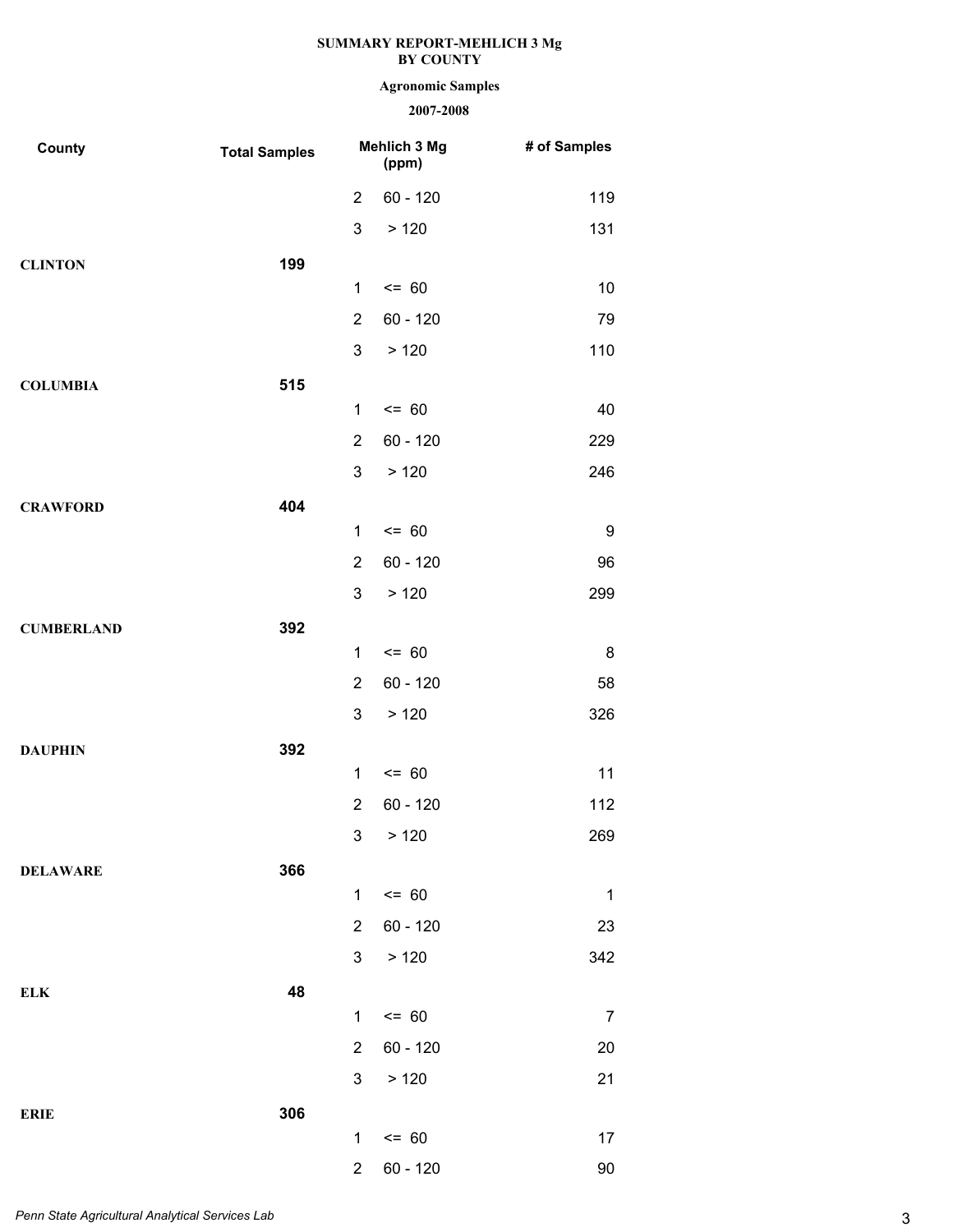# **Agronomic Samples**

| County            | <b>Total Samples</b> |                | Mehlich 3 Mg<br>(ppm) | # of Samples |
|-------------------|----------------------|----------------|-----------------------|--------------|
|                   |                      | $\overline{2}$ | $60 - 120$            | 119          |
|                   |                      | 3              | > 120                 | 131          |
| <b>CLINTON</b>    | 199                  |                |                       |              |
|                   |                      | 1              | $= 60$                | 10           |
|                   |                      | $\overline{2}$ | $60 - 120$            | 79           |
|                   |                      | 3              | >120                  | 110          |
| <b>COLUMBIA</b>   | 515                  |                |                       |              |
|                   |                      | 1              | $= 60$                | 40           |
|                   |                      | $\overline{2}$ | $60 - 120$            | 229          |
|                   |                      | 3              | > 120                 | 246          |
| <b>CRAWFORD</b>   | 404                  |                |                       |              |
|                   |                      | 1              | $= 60$                | 9            |
|                   |                      | $\overline{2}$ | $60 - 120$            | 96           |
|                   |                      | 3              | >120                  | 299          |
| <b>CUMBERLAND</b> | 392                  |                |                       |              |
|                   |                      | 1              | $= 60$                | 8            |
|                   |                      | $\overline{2}$ | $60 - 120$            | 58           |
|                   |                      | 3              | >120                  | 326          |
| <b>DAUPHIN</b>    | 392                  | 1              | $= 60$                | 11           |
|                   |                      | $\overline{2}$ | 60 - 120              | 112          |
|                   |                      |                | 3 > 120               | 269          |
|                   |                      |                |                       |              |
| <b>DELAWARE</b>   | 366                  | $\mathbf{1}$   | $= 60$                | $\mathbf 1$  |
|                   |                      | $\overline{2}$ | $60 - 120$            | 23           |
|                   |                      | 3              | > 120                 | 342          |
| <b>ELK</b>        | 48                   |                |                       |              |
|                   |                      | $\mathbf{1}$   | $= 60$                | 7            |
|                   |                      | $\overline{2}$ | $60 - 120$            | 20           |
|                   |                      | $\mathbf{3}$   | > 120                 | 21           |
| <b>ERIE</b>       | 306                  |                |                       |              |
|                   |                      | $\mathbf{1}$   | $= 60$                | 17           |
|                   |                      | $\overline{2}$ | 60 - 120              | 90           |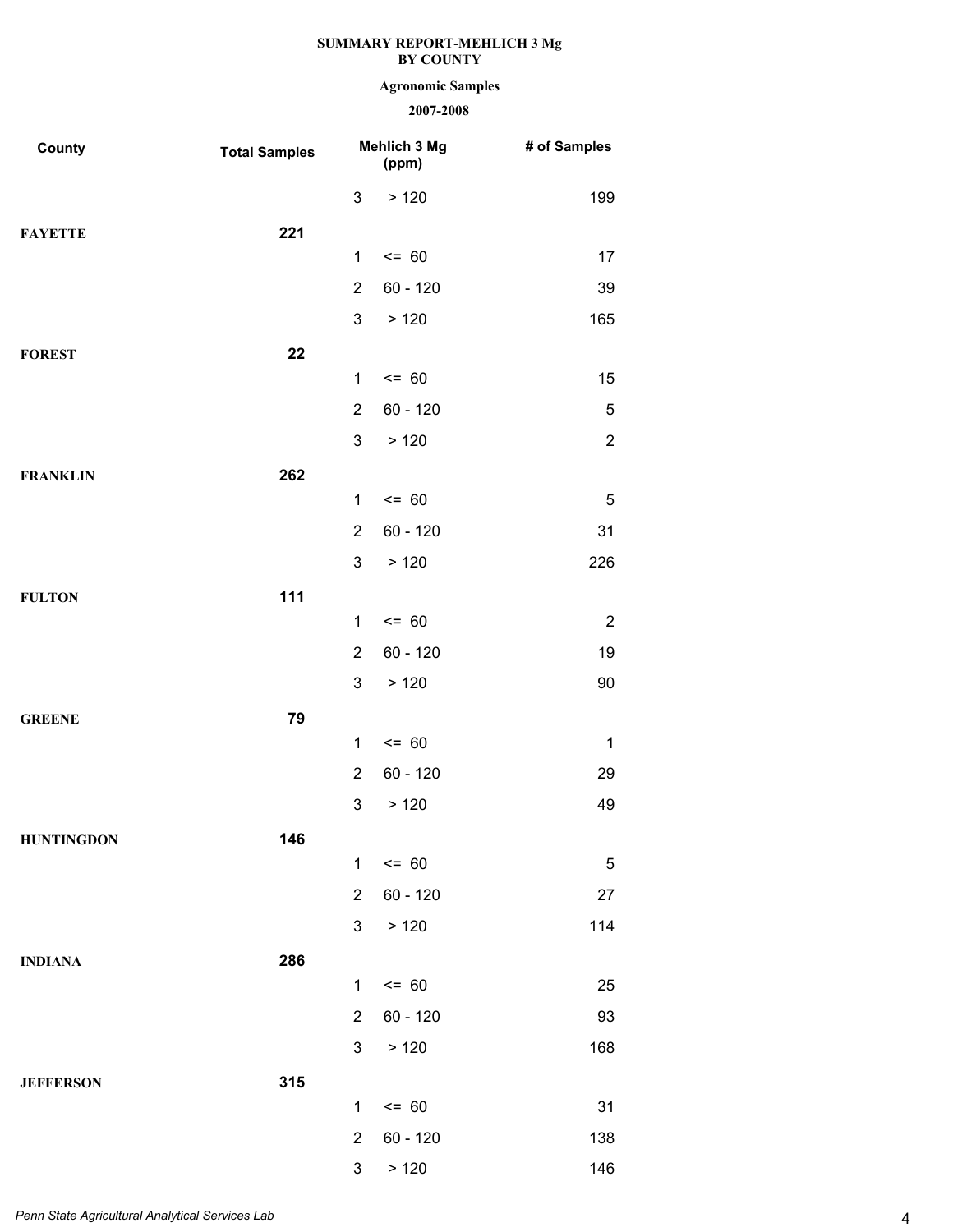# **Agronomic Samples**

| County            | <b>Total Samples</b> |                                | Mehlich 3 Mg<br>(ppm) | # of Samples   |
|-------------------|----------------------|--------------------------------|-----------------------|----------------|
|                   |                      | $\mathbf{3}$                   | > 120                 | 199            |
| <b>FAYETTE</b>    | 221                  |                                |                       |                |
|                   |                      | $\mathbf{1}$                   | $= 60$                | 17             |
|                   |                      | $\overline{2}$                 | $60 - 120$            | 39             |
|                   |                      | $\mathfrak{S}$                 | > 120                 | 165            |
| <b>FOREST</b>     | 22                   |                                |                       |                |
|                   |                      | $\mathbf 1$                    | $= 60$                | 15             |
|                   |                      | $\overline{2}$                 | $60 - 120$            | 5              |
|                   |                      | $\mathfrak{B}$                 | > 120                 | $\sqrt{2}$     |
| <b>FRANKLIN</b>   | 262                  |                                |                       |                |
|                   |                      | $\mathbf{1}$                   | $= 60$                | $\sqrt{5}$     |
|                   |                      | $\overline{2}$                 | $60 - 120$            | 31             |
|                   |                      | $\mathfrak{S}$                 | > 120                 | 226            |
| <b>FULTON</b>     | 111                  |                                |                       |                |
|                   |                      | $\mathbf{1}$                   | $= 60$                | $\overline{2}$ |
|                   |                      | $\overline{2}$                 | $60 - 120$            | 19             |
|                   |                      | $\mathfrak{B}$                 | > 120                 | 90             |
| <b>GREENE</b>     | 79                   |                                |                       |                |
|                   |                      | $\mathbf 1$                    | $= 60$                | $\mathbf{1}$   |
|                   |                      | $\overline{2}$                 | $60 - 120$            | 29             |
|                   |                      | $\ensuremath{\mathsf{3}}$      | > 120                 | 49             |
| <b>HUNTINGDON</b> | 146                  |                                |                       |                |
|                   |                      | $\mathbf{1}$                   | $= 60$                | 5              |
|                   |                      | $\overline{2}$                 | $60 - 120$            | 27             |
|                   |                      | $\mathfrak{S}$                 | > 120                 | 114            |
| <b>INDIANA</b>    | 286                  |                                |                       |                |
|                   |                      | $\mathbf{1}$                   | $= 60$                | 25             |
|                   |                      | $\overline{2}$                 | $60 - 120$            | 93             |
|                   |                      | 3                              | > 120                 | 168            |
| <b>JEFFERSON</b>  | 315                  |                                |                       |                |
|                   |                      | $\mathbf{1}$<br>$\overline{2}$ | $= 60$<br>$60 - 120$  | 31             |
|                   |                      | $\mathfrak{S}$                 |                       | 138<br>146     |
|                   |                      |                                | > 120                 |                |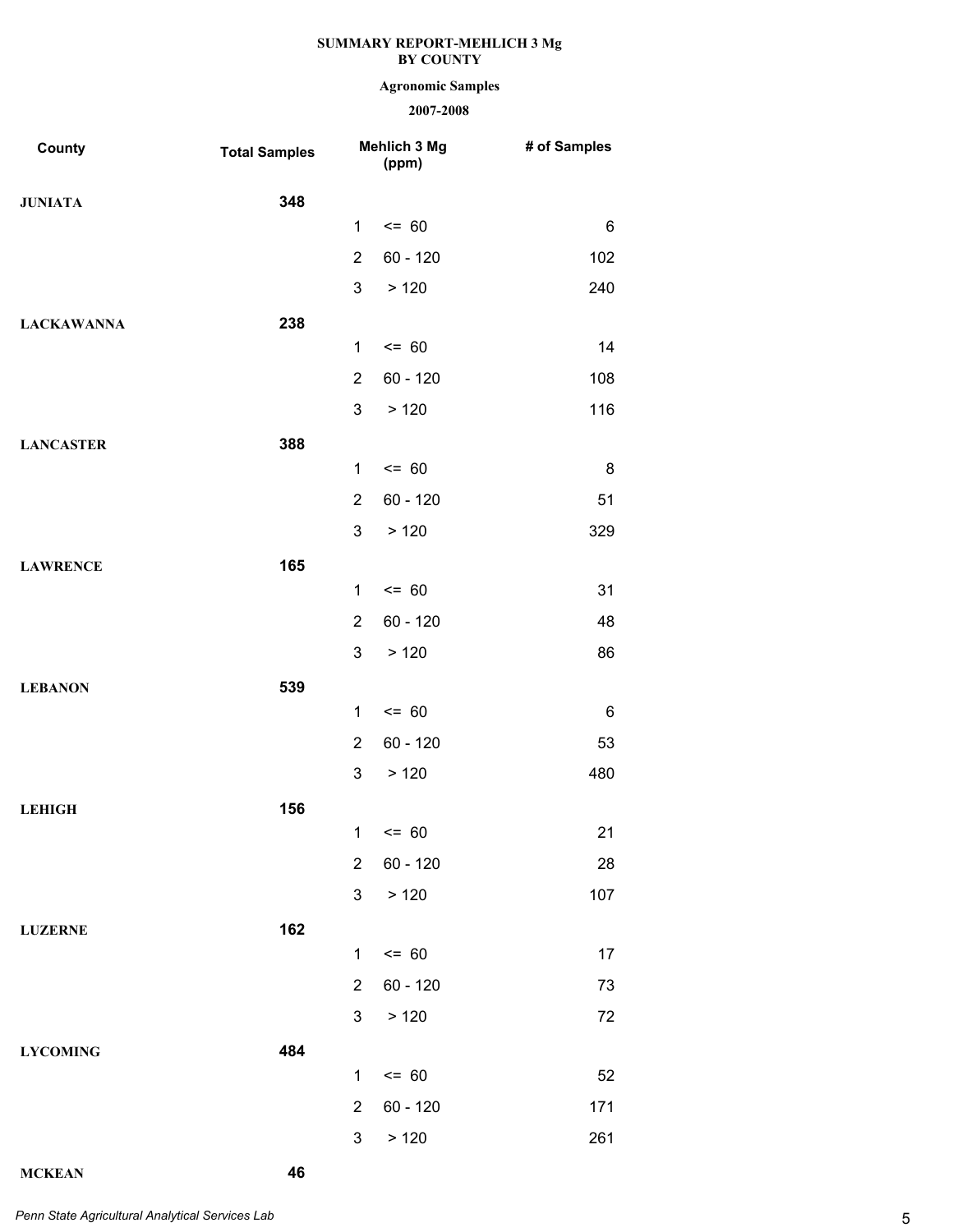# **Agronomic Samples**

# **2007-2008**

| County            | <b>Total Samples</b> |                | Mehlich 3 Mg<br>(ppm) | # of Samples |
|-------------------|----------------------|----------------|-----------------------|--------------|
| <b>JUNIATA</b>    | 348                  |                |                       |              |
|                   |                      | 1              | $\leq$ 60             | 6            |
|                   |                      | $\overline{2}$ | $60 - 120$            | 102          |
|                   |                      | 3              | >120                  | 240          |
| <b>LACKAWANNA</b> | 238                  |                |                       |              |
|                   |                      | $\mathbf{1}$   | $= 60$                | 14           |
|                   |                      | $\overline{2}$ | $60 - 120$            | 108          |
|                   |                      | 3              | >120                  | 116          |
| <b>LANCASTER</b>  | 388                  |                |                       |              |
|                   |                      | $\mathbf{1}$   | $= 60$                | 8            |
|                   |                      | $\overline{2}$ | $60 - 120$            | 51           |
|                   |                      | 3              | >120                  | 329          |
| <b>LAWRENCE</b>   | 165                  | $\mathbf{1}$   | $= 60$                | 31           |
|                   |                      | $\overline{2}$ | $60 - 120$            | 48           |
|                   |                      | 3              | >120                  | 86           |
|                   |                      |                |                       |              |
| <b>LEBANON</b>    | 539                  | $\mathbf{1}$   | $= 60$                | 6            |
|                   |                      | $\overline{2}$ | $60 - 120$            | 53           |
|                   |                      | 3              | > 120                 | 480          |
| <b>LEHIGH</b>     | 156                  |                |                       |              |
|                   |                      |                | $1 \le 60$            | 21           |
|                   |                      | $\overline{2}$ | $60 - 120$            | 28           |
|                   |                      | 3              | > 120                 | 107          |
| <b>LUZERNE</b>    | 162                  |                |                       |              |
|                   |                      | 1              | $= 60$                | 17           |
|                   |                      | $\overline{2}$ | $60 - 120$            | 73           |
|                   |                      | 3              | > 120                 | 72           |
| <b>LYCOMING</b>   | 484                  |                |                       |              |
|                   |                      | $\mathbf{1}$   | $= 60$                | 52           |
|                   |                      | $\overline{2}$ | $60 - 120$            | 171          |
|                   |                      | 3              | > 120                 | 261          |

**MCKEAN 46**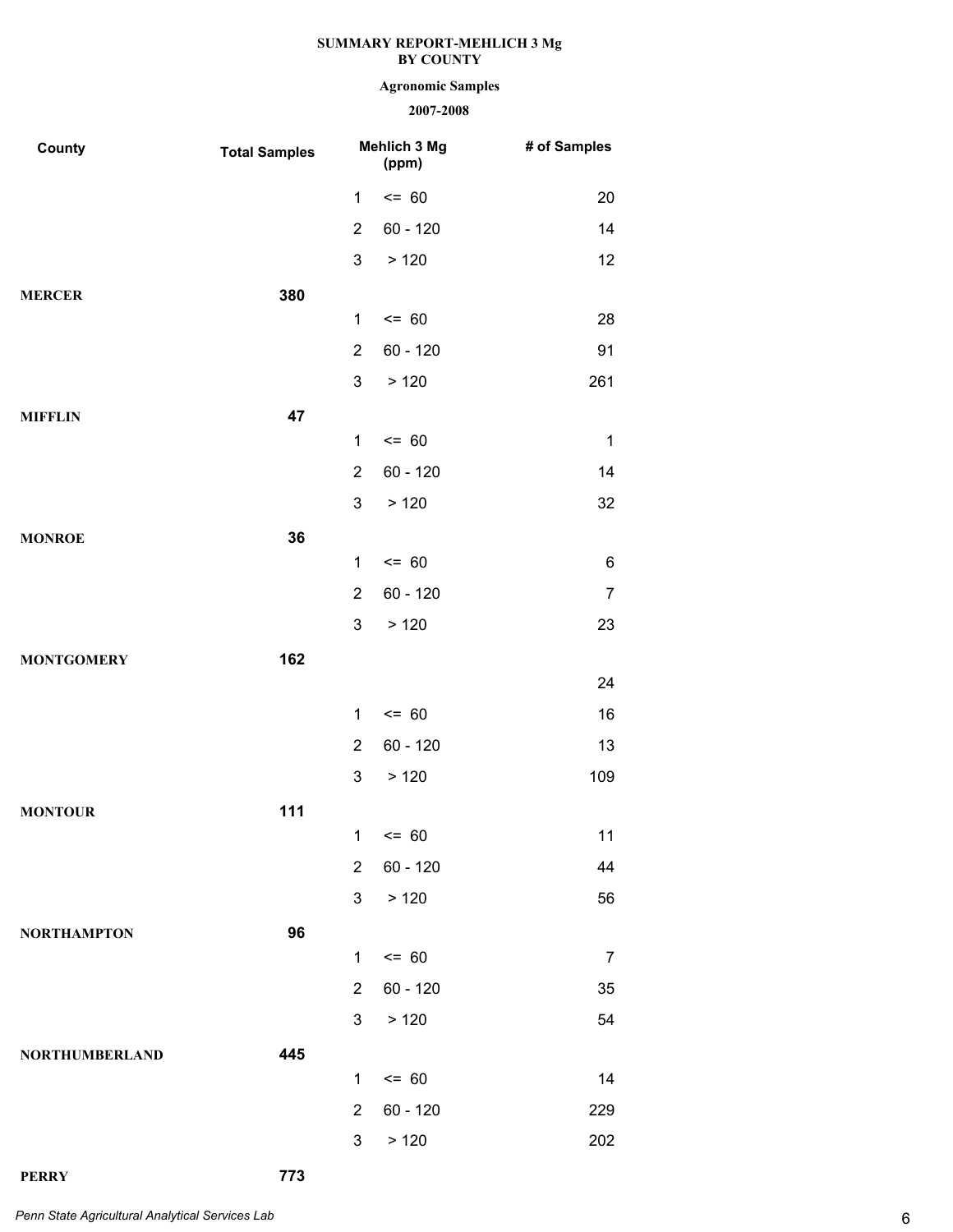# **Agronomic Samples**

# **2007-2008**

| County                | <b>Total Samples</b> |                | Mehlich 3 Mg<br>(ppm) | # of Samples   |
|-----------------------|----------------------|----------------|-----------------------|----------------|
|                       |                      | 1              | $= 60$                | 20             |
|                       |                      | $\overline{2}$ | $60 - 120$            | 14             |
|                       |                      | 3              | >120                  | 12             |
| <b>MERCER</b>         | 380                  |                |                       |                |
|                       |                      | $\mathbf 1$    | $= 60$                | 28             |
|                       |                      | $\overline{2}$ | $60 - 120$            | 91             |
|                       |                      | 3              | >120                  | 261            |
| <b>MIFFLIN</b>        | 47                   |                |                       |                |
|                       |                      | $\mathbf 1$    | $= 60$                | $\mathbf 1$    |
|                       |                      | $\overline{2}$ | $60 - 120$            | 14             |
|                       |                      | 3              | >120                  | 32             |
| <b>MONROE</b>         | 36                   |                |                       |                |
|                       |                      | $\mathbf 1$    | $= 60$                | $\,6$          |
|                       |                      | $\overline{2}$ | $60 - 120$            | $\overline{7}$ |
|                       |                      | 3              | >120                  | 23             |
| <b>MONTGOMERY</b>     | 162                  |                |                       | 24             |
|                       |                      | $\mathbf 1$    | $= 60$                | 16             |
|                       |                      | $\overline{2}$ | $60 - 120$            | 13             |
|                       |                      | 3              | >120                  | 109            |
|                       |                      |                |                       |                |
| <b>MONTOUR</b>        | 111                  |                | $1 \le 60$            | 11             |
|                       |                      | $\overline{2}$ | $60 - 120$            | 44             |
|                       |                      | $\mathbf{3}$   | > 120                 | 56             |
| <b>NORTHAMPTON</b>    | 96                   |                |                       |                |
|                       |                      | $\mathbf 1$    | $= 60$                | $\overline{7}$ |
|                       |                      | $\overline{2}$ | $60 - 120$            | 35             |
|                       |                      | $\mathbf{3}$   | > 120                 | 54             |
| <b>NORTHUMBERLAND</b> | 445                  |                |                       |                |
|                       |                      | $\mathbf 1$    | $= 60$                | 14             |
|                       |                      | $\overline{2}$ | $60 - 120$            | 229            |
|                       |                      | 3              | > 120                 | 202            |

**PERRY 773**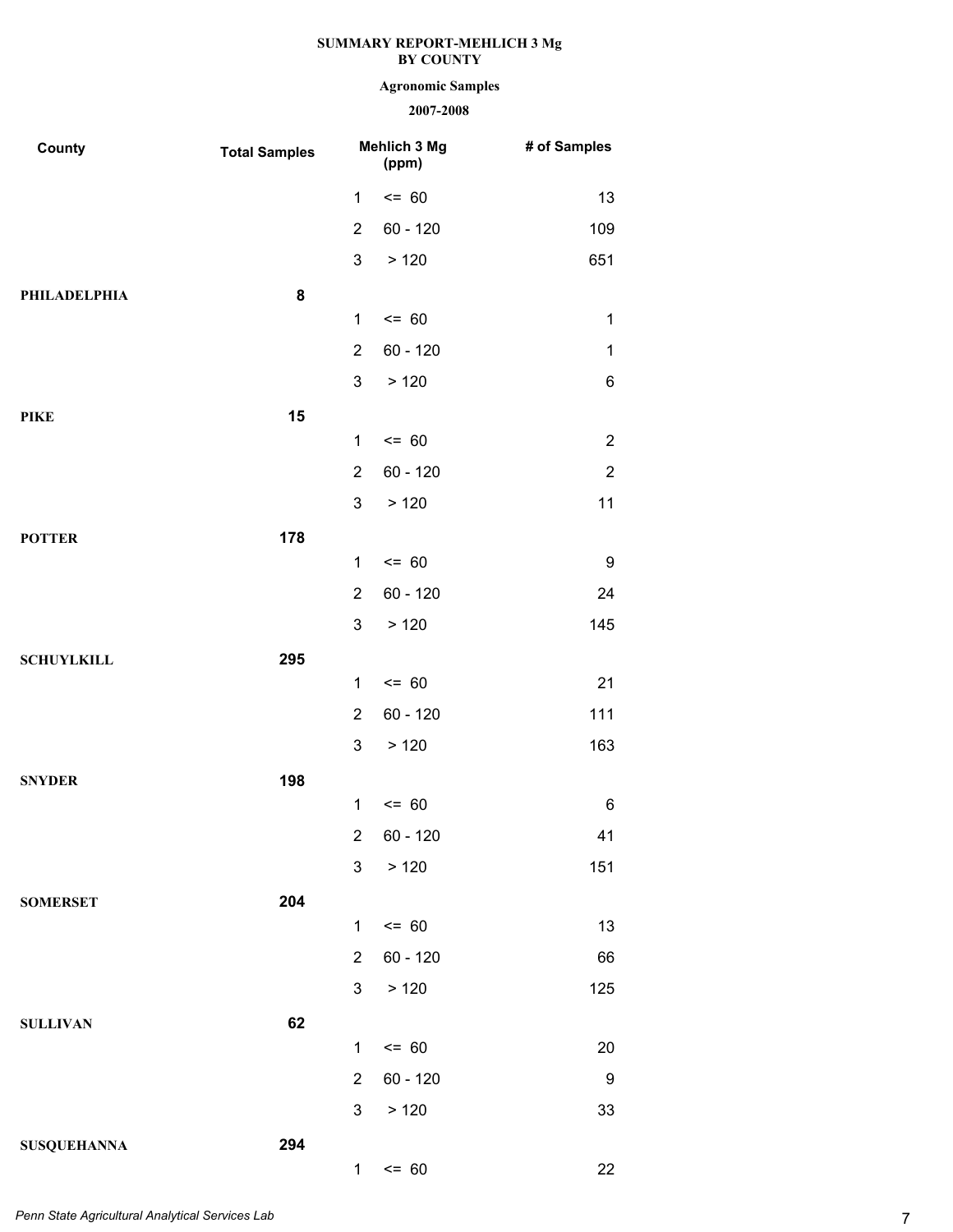# **Agronomic Samples**

| County             | <b>Total Samples</b> | Mehlich 3 Mg<br>(ppm) |            | # of Samples     |
|--------------------|----------------------|-----------------------|------------|------------------|
|                    |                      | 1                     | $= 60$     | 13               |
|                    |                      | $\overline{2}$        | $60 - 120$ | 109              |
|                    |                      | $\mathbf{3}$          | >120       | 651              |
| PHILADELPHIA       | 8                    |                       |            |                  |
|                    |                      | $\mathbf{1}$          | $= 60$     | $\mathbf{1}$     |
|                    |                      | $\overline{2}$        | $60 - 120$ | $\mathbf 1$      |
|                    |                      | $\mathbf{3}$          | > 120      | 6                |
| <b>PIKE</b>        | 15                   |                       |            |                  |
|                    |                      | 1                     | $= 60$     | $\overline{2}$   |
|                    |                      | $\overline{2}$        | $60 - 120$ | $\overline{2}$   |
|                    |                      | 3                     | >120       | 11               |
| <b>POTTER</b>      | 178                  |                       |            |                  |
|                    |                      | $\mathbf{1}$          | $= 60$     | 9                |
|                    |                      | $\overline{2}$        | $60 - 120$ | 24               |
|                    |                      | $\mathbf{3}$          | >120       | 145              |
| <b>SCHUYLKILL</b>  | 295                  |                       |            |                  |
|                    |                      | $\mathbf 1$           | $= 60$     | 21               |
|                    |                      | $\overline{2}$        | $60 - 120$ | 111              |
|                    |                      | 3                     | >120       | 163              |
| <b>SNYDER</b>      | 198                  |                       |            |                  |
|                    |                      | $\mathbf{1}$          | $= 60$     | 6                |
|                    |                      | $2^{\circ}$           | 60 - 120   | 41               |
|                    |                      | 3 <sup>1</sup>        | > 120      | 151              |
| <b>SOMERSET</b>    | 204                  |                       |            |                  |
|                    |                      | $\mathbf{1}$          | $= 60$     | 13               |
|                    |                      | $\overline{2}$        | $60 - 120$ | 66               |
|                    |                      | 3 <sup>1</sup>        | > 120      | 125              |
| <b>SULLIVAN</b>    | 62                   |                       |            |                  |
|                    |                      | $\mathbf{1}$          | $= 60$     | 20               |
|                    |                      | $2^{\circ}$           | $60 - 120$ | $\boldsymbol{9}$ |
|                    |                      | 3 <sup>1</sup>        | >120       | 33               |
| <b>SUSQUEHANNA</b> | 294                  |                       |            |                  |
|                    |                      | 1                     | $\leq$ 60  | 22               |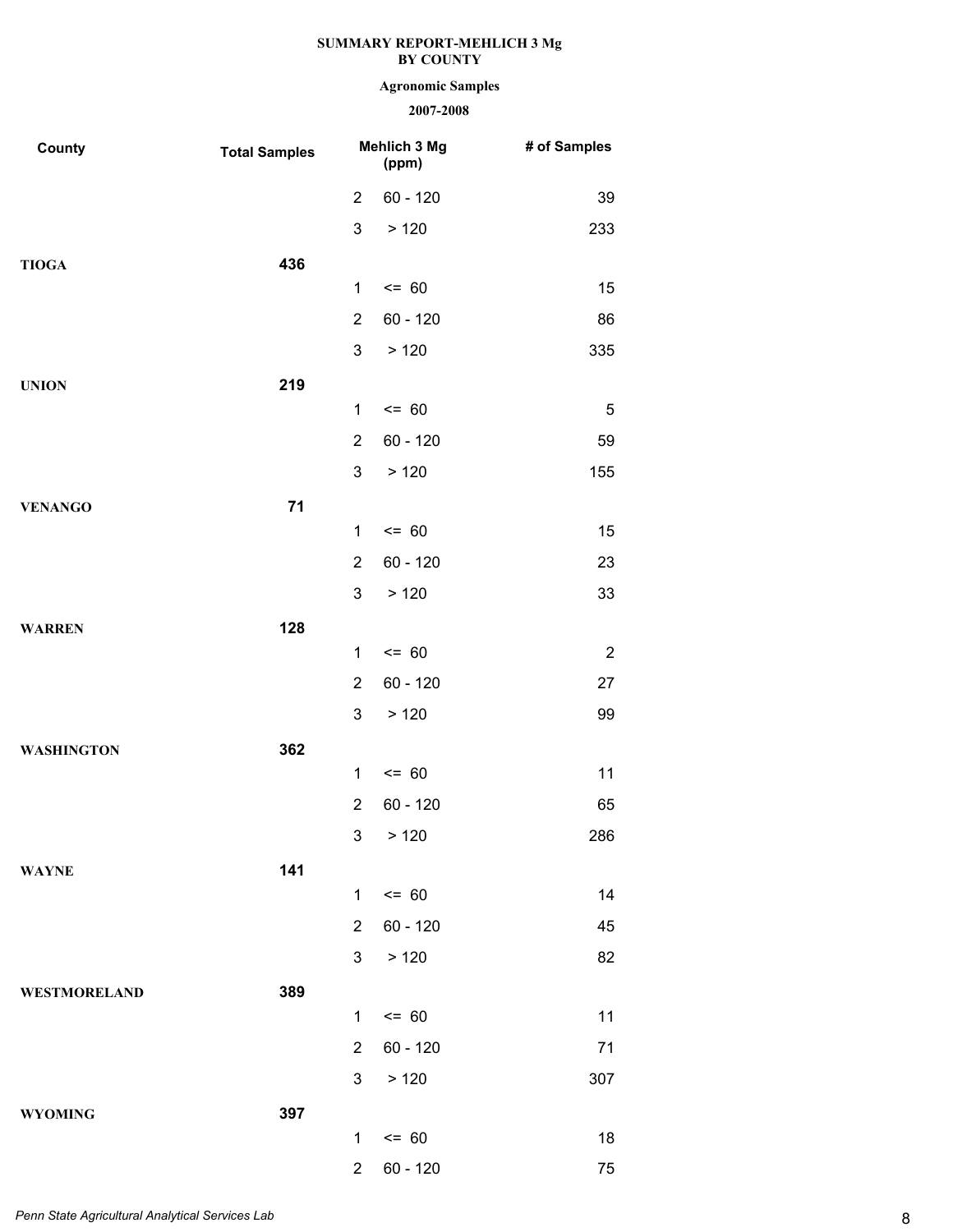# **Agronomic Samples**

| County              | <b>Total Samples</b> |                | Mehlich 3 Mg<br>(ppm) | # of Samples   |
|---------------------|----------------------|----------------|-----------------------|----------------|
|                     |                      | $\overline{2}$ | $60 - 120$            | 39             |
|                     |                      | 3              | >120                  | 233            |
| <b>TIOGA</b>        | 436                  |                |                       |                |
|                     |                      | 1              | $= 60$                | 15             |
|                     |                      | $\overline{2}$ | $60 - 120$            | 86             |
|                     |                      | 3              | >120                  | 335            |
| <b>UNION</b>        | 219                  |                |                       |                |
|                     |                      | 1              | $= 60$                | 5              |
|                     |                      | $\overline{2}$ | $60 - 120$            | 59             |
|                     |                      | 3              | >120                  | 155            |
| <b>VENANGO</b>      | 71                   |                |                       |                |
|                     |                      | 1              | $= 60$                | 15             |
|                     |                      | $\overline{2}$ | $60 - 120$            | 23             |
|                     |                      | 3              | >120                  | 33             |
| <b>WARREN</b>       | 128                  |                |                       |                |
|                     |                      | 1              | $= 60$                | $\overline{2}$ |
|                     |                      | $\overline{2}$ | $60 - 120$            | 27             |
|                     |                      | 3              | >120                  | 99             |
| <b>WASHINGTON</b>   | 362                  | 1              | $= 60$                | 11             |
|                     |                      | $\overline{2}$ | $60 - 120$            | 65             |
|                     |                      | 3 <sub>1</sub> | > 120                 | 286            |
|                     |                      |                |                       |                |
| <b>WAYNE</b>        | 141                  | $\mathbf{1}$   | $= 60$                | 14             |
|                     |                      | $\overline{2}$ | $60 - 120$            | 45             |
|                     |                      | 3              | >120                  | 82             |
| <b>WESTMORELAND</b> | 389                  |                |                       |                |
|                     |                      | 1              | $= 60$                | 11             |
|                     |                      | $\overline{2}$ | $60 - 120$            | 71             |
|                     |                      | 3 <sup>1</sup> | >120                  | 307            |
| <b>WYOMING</b>      | 397                  |                |                       |                |
|                     |                      | 1              | $= 60$                | 18             |
|                     |                      | $\overline{2}$ | $60 - 120$            | 75             |